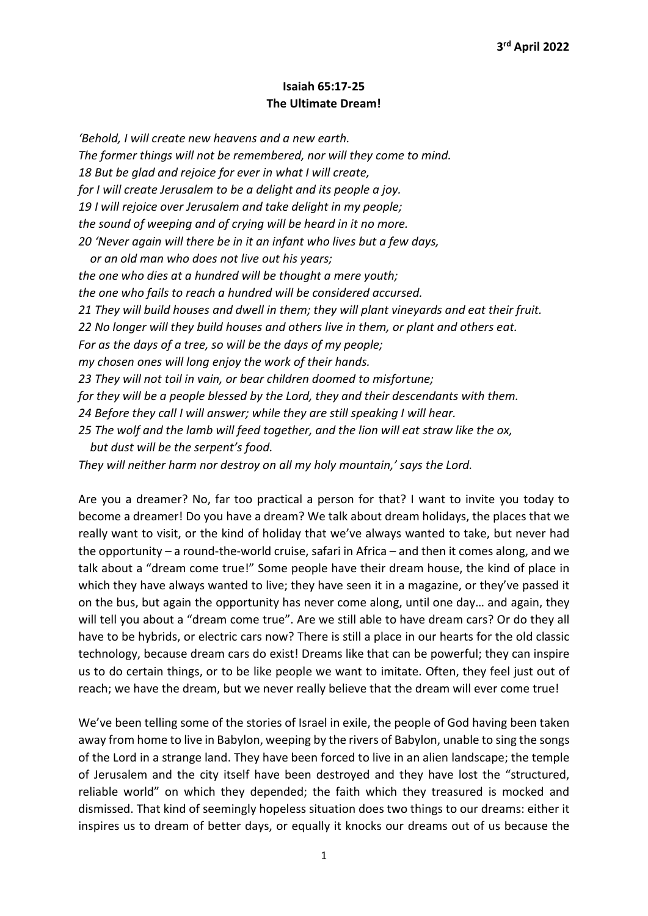## Isaiah 65:17-25 The Ultimate Dream!

'Behold, I will create new heavens and a new earth. The former things will not be remembered, nor will they come to mind. 18 But be glad and rejoice for ever in what I will create, for I will create Jerusalem to be a delight and its people a joy. 19 I will rejoice over Jerusalem and take delight in my people; the sound of weeping and of crying will be heard in it no more. 20 'Never again will there be in it an infant who lives but a few days, or an old man who does not live out his years; the one who dies at a hundred will be thought a mere youth; the one who fails to reach a hundred will be considered accursed. 21 They will build houses and dwell in them; they will plant vineyards and eat their fruit. 22 No longer will they build houses and others live in them, or plant and others eat. For as the days of a tree, so will be the days of my people; my chosen ones will long enjoy the work of their hands. 23 They will not toil in vain, or bear children doomed to misfortune; for they will be a people blessed by the Lord, they and their descendants with them. 24 Before they call I will answer; while they are still speaking I will hear. 25 The wolf and the lamb will feed together, and the lion will eat straw like the ox, but dust will be the serpent's food. They will neither harm nor destroy on all my holy mountain,' says the Lord.

Are you a dreamer? No, far too practical a person for that? I want to invite you today to become a dreamer! Do you have a dream? We talk about dream holidays, the places that we really want to visit, or the kind of holiday that we've always wanted to take, but never had the opportunity – a round-the-world cruise, safari in Africa – and then it comes along, and we talk about a "dream come true!" Some people have their dream house, the kind of place in which they have always wanted to live; they have seen it in a magazine, or they've passed it on the bus, but again the opportunity has never come along, until one day… and again, they will tell you about a "dream come true". Are we still able to have dream cars? Or do they all have to be hybrids, or electric cars now? There is still a place in our hearts for the old classic technology, because dream cars do exist! Dreams like that can be powerful; they can inspire us to do certain things, or to be like people we want to imitate. Often, they feel just out of reach; we have the dream, but we never really believe that the dream will ever come true!

We've been telling some of the stories of Israel in exile, the people of God having been taken away from home to live in Babylon, weeping by the rivers of Babylon, unable to sing the songs of the Lord in a strange land. They have been forced to live in an alien landscape; the temple of Jerusalem and the city itself have been destroyed and they have lost the "structured, reliable world" on which they depended; the faith which they treasured is mocked and dismissed. That kind of seemingly hopeless situation does two things to our dreams: either it inspires us to dream of better days, or equally it knocks our dreams out of us because the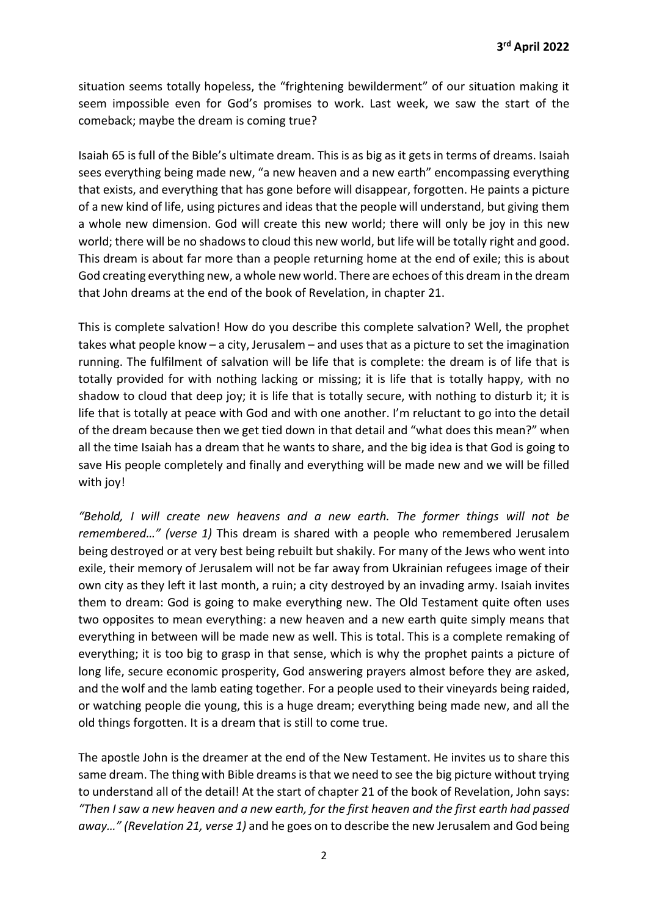situation seems totally hopeless, the "frightening bewilderment" of our situation making it seem impossible even for God's promises to work. Last week, we saw the start of the comeback; maybe the dream is coming true?

Isaiah 65 is full of the Bible's ultimate dream. This is as big as it gets in terms of dreams. Isaiah sees everything being made new, "a new heaven and a new earth" encompassing everything that exists, and everything that has gone before will disappear, forgotten. He paints a picture of a new kind of life, using pictures and ideas that the people will understand, but giving them a whole new dimension. God will create this new world; there will only be joy in this new world; there will be no shadows to cloud this new world, but life will be totally right and good. This dream is about far more than a people returning home at the end of exile; this is about God creating everything new, a whole new world. There are echoes of this dream in the dream that John dreams at the end of the book of Revelation, in chapter 21.

This is complete salvation! How do you describe this complete salvation? Well, the prophet takes what people know – a city, Jerusalem – and uses that as a picture to set the imagination running. The fulfilment of salvation will be life that is complete: the dream is of life that is totally provided for with nothing lacking or missing; it is life that is totally happy, with no shadow to cloud that deep joy; it is life that is totally secure, with nothing to disturb it; it is life that is totally at peace with God and with one another. I'm reluctant to go into the detail of the dream because then we get tied down in that detail and "what does this mean?" when all the time Isaiah has a dream that he wants to share, and the big idea is that God is going to save His people completely and finally and everything will be made new and we will be filled with joy!

"Behold, I will create new heavens and a new earth. The former things will not be remembered…" (verse 1) This dream is shared with a people who remembered Jerusalem being destroyed or at very best being rebuilt but shakily. For many of the Jews who went into exile, their memory of Jerusalem will not be far away from Ukrainian refugees image of their own city as they left it last month, a ruin; a city destroyed by an invading army. Isaiah invites them to dream: God is going to make everything new. The Old Testament quite often uses two opposites to mean everything: a new heaven and a new earth quite simply means that everything in between will be made new as well. This is total. This is a complete remaking of everything; it is too big to grasp in that sense, which is why the prophet paints a picture of long life, secure economic prosperity, God answering prayers almost before they are asked, and the wolf and the lamb eating together. For a people used to their vineyards being raided, or watching people die young, this is a huge dream; everything being made new, and all the old things forgotten. It is a dream that is still to come true.

The apostle John is the dreamer at the end of the New Testament. He invites us to share this same dream. The thing with Bible dreams is that we need to see the big picture without trying to understand all of the detail! At the start of chapter 21 of the book of Revelation, John says: "Then I saw a new heaven and a new earth, for the first heaven and the first earth had passed away…" (Revelation 21, verse 1) and he goes on to describe the new Jerusalem and God being